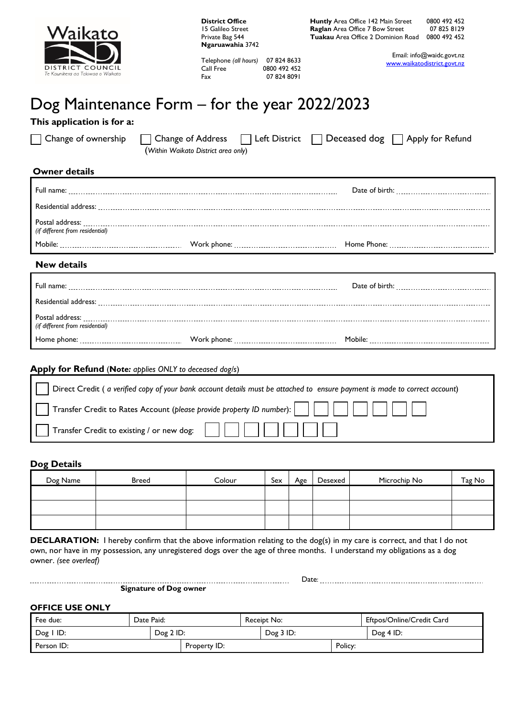

**District Office** 15 Galileo Street Private Bag 544 **Ngaruawahia** 3742

Telephone *(all hours)* 07 824 8633

Fax 07 824 8091

0800 492 452

Date:

Email: info@waidc.govt.nz [www.waikatodistrict.govt.nz](http://www.waikatodistrict.govt.nz/)

# Dog Maintenance Form – for the year 2022/2023

## **This application is for a:**

| Change of ownership             | Change of Address<br>(Within Waikato District area only) | □ Left District □ Deceased dog □ Apply for Refund                                                              |
|---------------------------------|----------------------------------------------------------|----------------------------------------------------------------------------------------------------------------|
| <b>Owner details</b>            |                                                          |                                                                                                                |
|                                 |                                                          |                                                                                                                |
|                                 |                                                          | Residential address: www.communication.communications.com/news/communications.com/news/communications.com/news |
| (if different from residential) |                                                          |                                                                                                                |
|                                 |                                                          |                                                                                                                |
| <b>New details</b>              |                                                          |                                                                                                                |
|                                 |                                                          |                                                                                                                |
|                                 |                                                          |                                                                                                                |
| (if different from residential) |                                                          |                                                                                                                |
|                                 |                                                          |                                                                                                                |

#### **Apply for Refund** (**N***ote: applies ONLY to deceased dog/s*)

| Direct Credit (a verified copy of your bank account details must be attached to ensure payment is made to correct account)                                                                                                                                                                                                                      |  |  |  |  |  |
|-------------------------------------------------------------------------------------------------------------------------------------------------------------------------------------------------------------------------------------------------------------------------------------------------------------------------------------------------|--|--|--|--|--|
| $ \bigcap$ Transfer Credit to Rates Account (please provide property ID number): $ \hspace{.1cm} \hspace{.1cm} \hspace{.1cm} \hspace{.1cm} \hspace{.1cm} \hspace{.1cm} \hspace{.1cm} \hspace{.1cm} \hspace{.1cm} \hspace{.1cm} \hspace{.1cm} \hspace{.1cm} \hspace{.1cm} \hspace{.1cm} \hspace{.1cm} \hspace{.1cm} \hspace{.1cm} \hspace{.1cm}$ |  |  |  |  |  |
| $\Box$ Transfer Credit to existing / or new dog: $\Box$ $\Box$ $\Box$ $  $ $  $ $  $ $  $ $  $                                                                                                                                                                                                                                                  |  |  |  |  |  |

## **Dog Details**

| Dog Name | <b>Breed</b> | Colour | Sex | Age | Desexed | Microchip No | Tag No |
|----------|--------------|--------|-----|-----|---------|--------------|--------|
|          |              |        |     |     |         |              |        |
|          |              |        |     |     |         |              |        |
|          |              |        |     |     |         |              |        |

**DECLARATION:** I hereby confirm that the above information relating to the dog(s) in my care is correct, and that I do not own, nor have in my possession, any unregistered dogs over the age of three months. I understand my obligations as a dog owner. *(see overleaf)*

| <b>Signature of Dog owner</b> |  |
|-------------------------------|--|

## **OFFICE USE ONLY**

| Fee due:   | Date Paid:   |  | Receipt No:  |              |  | Eftpos/Online/Credit Card |  |
|------------|--------------|--|--------------|--------------|--|---------------------------|--|
| Dog I ID:  | $\log 2$ ID: |  |              | $\log 3$ ID: |  | Dog 4 ID:                 |  |
| Person ID: |              |  | Property ID: |              |  | Policy:                   |  |